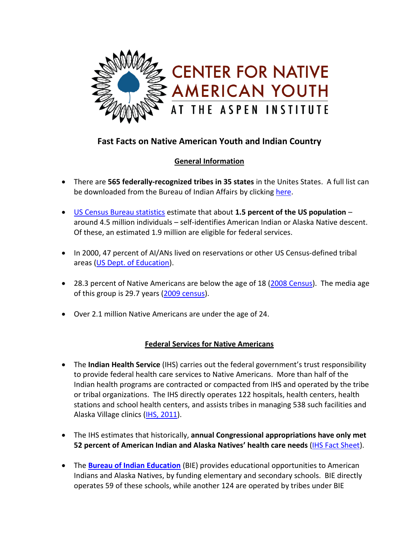

# **Fast Facts on Native American Youth and Indian Country**

## **General Information**

- There are **565 federally-recognized tribes in 35 states** in the Unites States. A full list can be downloaded from the Bureau of Indian Affairs by clicking [here.](http://www.bia.gov/idc/groups/xofa/documents/document/idc012038.pdf)
- [US Census Bureau statistics](http://factfinder.census.gov/servlet/GRTTable?_bm=y&-geo_id=01000US&-_box_head_nbr=R0203&-ds_name=ACS_2009_1YR_G00_&-redoLog=false&-mt_name=ACS_2006_EST_G00_R0203_US30&-format=US-30) estimate that about **1.5 percent of the US population** around 4.5 million individuals – self-identifies American Indian or Alaska Native descent. Of these, an estimated 1.9 million are eligible for federal services.
- In 2000, 47 percent of AI/ANs lived on reservations or other US Census-defined tribal areas [\(US Dept. of Education\)](http://nces.ed.gov/pubs2008/nativetrends/ind_1_2.asp).
- 28.3 percent of Native Americans are below the age of 18 [\(2008 Census\)](http://factfinder.census.gov/servlet/DTTable?_bm=y&-state=dt&-ds_name=ACS_2008_1YR_G00_&-_geoSkip=0&-CONTEXT=dt&-mt_name=ACS_2008_1YR_G2000_B01001C&-_skip=0&-redoLog=false&-geo_id=01000US&-geo_id=NBSP&-_showChild=Y&-format=&-_lang=en&-_toggle=ACS_2008_1YR_). The media age of this group is 29.7 years [\(2009 census\)](http://www.americanindianreport.com/wordpress/2010/11/national-american-indian-heritage-month-facts-figures-from-the-census-bureau/).
- Over 2.1 million Native Americans are under the age of 24.

## **Federal Services for Native Americans**

- The **Indian Health Service** (IHS) carries out the federal government's trust responsibility to provide federal health care services to Native Americans. More than half of the Indian health programs are contracted or compacted from IHS and operated by the tribe or tribal organizations. The IHS directly operates 122 hospitals, health centers, health stations and school health centers, and assists tribes in managing 538 such facilities and Alaska Village clinics (IHS, [2011\)](http://info.ihs.gov/Profile2011.asp).
- The IHS estimates that historically, **annual Congressional appropriations have only met 52 percent of American Indian and Alaska Natives' health care needs** [\(IHS Fact Sheet\)](http://info.ihs.gov/QuickLook.asp).
- **•** The **[Bureau of Indian Education](http://www.bia.gov/WhatWeDo/ServiceOverview/IndianEducation/index.htm)** (BIE) provides educational opportunities to American Indians and Alaska Natives, by funding elementary and secondary schools. BIE directly operates 59 of these schools, while another 124 are operated by tribes under BIE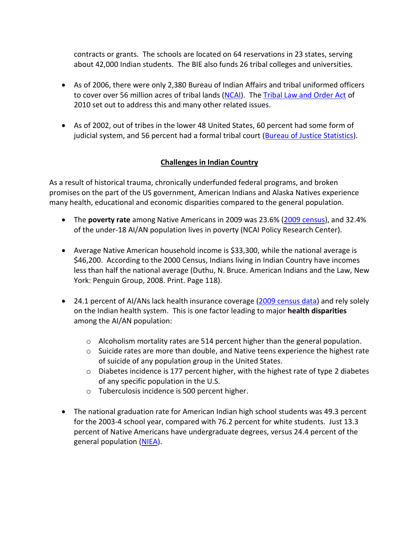contracts or grants. The schools are located on 64 reservations in 23 states, serving about 42,000 Indian students. The BIE also funds 26 tribal colleges and universities.

- As of 2006, there were only 2,380 Bureau of Indian Affairs and tribal uniformed officers to cover over 56 million acres of tribal lands [\(NCAI\)](http://www.ncai.org/Law-Enforcement-and-Tribal-Cou.34.0.html). The [Tribal Law and Order Act](http://www.tribaljusticeandsafety.gov/tloa.html) of 2010 set out to address this and many other related issues.
- As of 2002, out of tribes in the lower 48 United States, 60 percent had some form of judicial system, and 56 percent had a formal tribal court [\(Bureau of Justice Statistics\)](http://bjs.ojp.usdoj.gov/index.cfm?ty=tp&tid=29).

#### **Challenges in Indian Country**

As a result of historical trauma, chronically underfunded federal programs, and broken promises on the part of the US government, American Indians and Alaska Natives experience many health, educational and economic disparities compared to the general population.

- The **poverty rate** among Native Americans in 2009 was 23.6% [\(2009 census\)](http://www.americanindianreport.com/wordpress/2010/11/national-american-indian-heritage-month-facts-figures-from-the-census-bureau/), and 32.4% of the under-18 AI/AN population lives in poverty (NCAI Policy Research Center).
- Average Native American household income is \$33,300, while the national average is \$46,200. According to the 2000 Census, Indians living in Indian Country have incomes less than half the national average (Duthu, N. Bruce. American Indians and the Law, New York: Penguin Group, 2008. Print. Page 118).
- 24.1 percent of AI/ANs lack health insurance coverage [\(2009 census data\)](http://www.americanindianreport.com/wordpress/2010/11/national-american-indian-heritage-month-facts-figures-from-the-census-bureau/) and rely solely on the Indian health system. This is one factor leading to major **health disparities** among the AI/AN population:
	- $\circ$  Alcoholism mortality rates are 514 percent higher than the general population.
	- $\circ$  Suicide rates are more than double, and Native teens experience the highest rate of suicide of any population group in the United States.
	- $\circ$  Diabetes incidence is 177 percent higher, with the highest rate of type 2 diabetes of any specific population in the U.S.
	- o Tuberculosis incidence is 500 percent higher.
- The national graduation rate for American Indian high school students was 49.3 percent for the 2003-4 school year, compared with 76.2 percent for white students. Just 13.3 percent of Native Americans have undergraduate degrees, versus 24.4 percent of the general population [\(NIEA\)](http://www.uteed.net/files/nieareport.pdf).